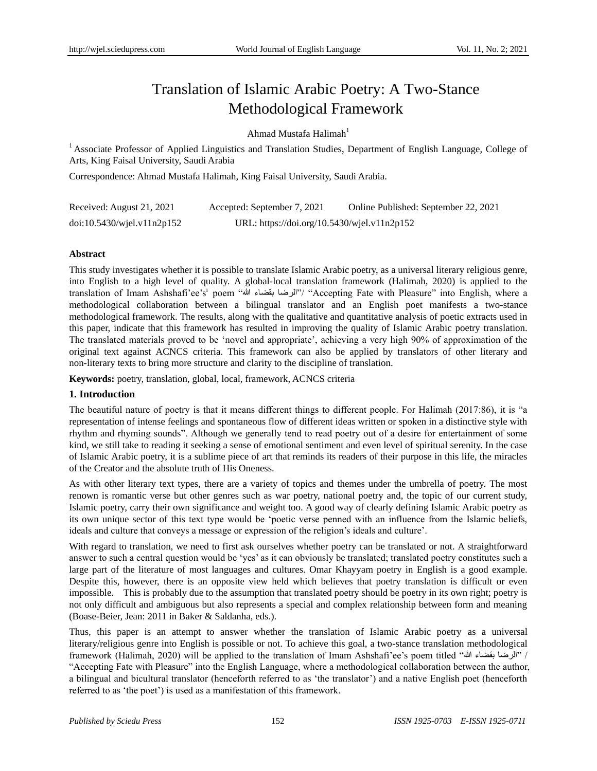# Translation of Islamic Arabic Poetry: A Two-Stance Methodological Framework

## Ahmad Mustafa Halimah $<sup>1</sup>$ </sup>

<sup>1</sup> Associate Professor of Applied Linguistics and Translation Studies, Department of English Language, College of Arts, King Faisal University, Saudi Arabia

Correspondence: Ahmad Mustafa Halimah, King Faisal University, Saudi Arabia.

| Received: August 21, 2021  | Accepted: September 7, 2021                 | Online Published: September 22, 2021 |
|----------------------------|---------------------------------------------|--------------------------------------|
| doi:10.5430/wjel.v11n2p152 | URL: https://doi.org/10.5430/wjel.v11n2p152 |                                      |

## **Abstract**

This study investigates whether it is possible to translate Islamic Arabic poetry, as a universal literary religious genre, into English to a high level of quality. A global-local translation framework (Halimah, 2020) is applied to the translation of Imam Ashshafi'ee's $^{\rm i}$  poem "الرضا بقضاء الله" "Accepting Fate with Pleasure" into English, where a methodological collaboration between a bilingual translator and an English poet manifests a two-stance methodological framework. The results, along with the qualitative and quantitative analysis of poetic extracts used in this paper, indicate that this framework has resulted in improving the quality of Islamic Arabic poetry translation. The translated materials proved to be "novel and appropriate", achieving a very high 90% of approximation of the original text against ACNCS criteria. This framework can also be applied by translators of other literary and non-literary texts to bring more structure and clarity to the discipline of translation.

**Keywords:** poetry, translation, global, local, framework, ACNCS criteria

## **1. Introduction**

The beautiful nature of poetry is that it means different things to different people. For Halimah (2017:86), it is "a representation of intense feelings and spontaneous flow of different ideas written or spoken in a distinctive style with rhythm and rhyming sounds". Although we generally tend to read poetry out of a desire for entertainment of some kind, we still take to reading it seeking a sense of emotional sentiment and even level of spiritual serenity. In the case of Islamic Arabic poetry, it is a sublime piece of art that reminds its readers of their purpose in this life, the miracles of the Creator and the absolute truth of His Oneness.

As with other literary text types, there are a variety of topics and themes under the umbrella of poetry. The most renown is romantic verse but other genres such as war poetry, national poetry and, the topic of our current study, Islamic poetry, carry their own significance and weight too. A good way of clearly defining Islamic Arabic poetry as its own unique sector of this text type would be "poetic verse penned with an influence from the Islamic beliefs, ideals and culture that conveys a message or expression of the religion"s ideals and culture".

With regard to translation, we need to first ask ourselves whether poetry can be translated or not. A straightforward answer to such a central question would be "yes" as it can obviously be translated; translated poetry constitutes such a large part of the literature of most languages and cultures. Omar Khayyam poetry in English is a good example. Despite this, however, there is an opposite view held which believes that poetry translation is difficult or even impossible. This is probably due to the assumption that translated poetry should be poetry in its own right; poetry is not only difficult and ambiguous but also represents a special and complex relationship between form and meaning (Boase-Beier, Jean: 2011 in Baker & Saldanha, eds.).

Thus, this paper is an attempt to answer whether the translation of Islamic Arabic poetry as a universal literary/religious genre into English is possible or not. To achieve this goal, a two-stance translation methodological framework (Halimah, 2020) will be applied to the translation of Imam Ashshafi"ee"s poem titled "هللا بقضاء اىشضا "/ "Accepting Fate with Pleasure" into the English Language, where a methodological collaboration between the author, a bilingual and bicultural translator (henceforth referred to as "the translator") and a native English poet (henceforth referred to as "the poet") is used as a manifestation of this framework.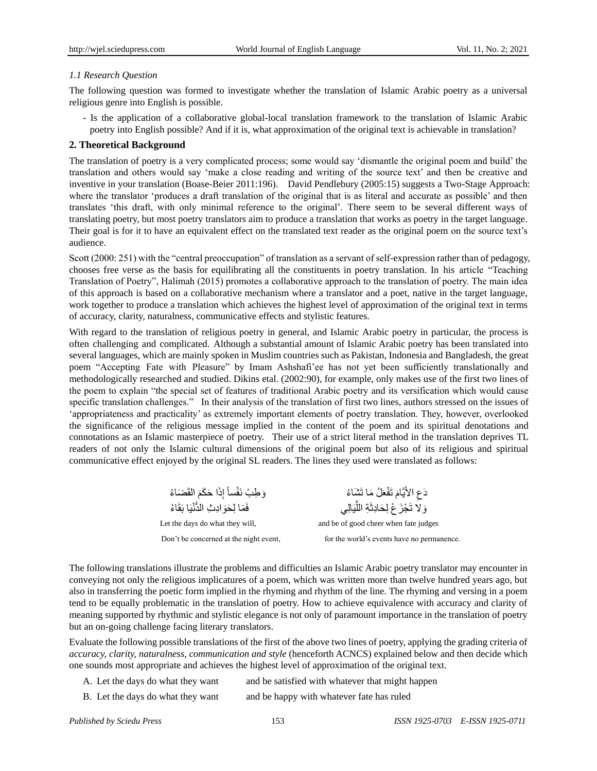## *1.1 Research Question*

The following question was formed to investigate whether the translation of Islamic Arabic poetry as a universal religious genre into English is possible.

- Is the application of a collaborative global-local translation framework to the translation of Islamic Arabic poetry into English possible? And if it is, what approximation of the original text is achievable in translation?

## **2. Theoretical Background**

The translation of poetry is a very complicated process; some would say "dismantle the original poem and build" the translation and others would say "make a close reading and writing of the source text" and then be creative and inventive in your translation (Boase-Beier 2011:196). David Pendlebury (2005:15) suggests a Two-Stage Approach: where the translator 'produces a draft translation of the original that is as literal and accurate as possible' and then translates "this draft, with only minimal reference to the original". There seem to be several different ways of translating poetry, but most poetry translators aim to produce a translation that works as poetry in the target language. Their goal is for it to have an equivalent effect on the translated text reader as the original poem on the source text's audience.

Scott (2000: 251) with the "central preoccupation" of translation as a servant of self-expression rather than of pedagogy, chooses free verse as the basis for equilibrating all the constituents in poetry translation. In his article "Teaching Translation of Poetry", Halimah (2015) promotes a collaborative approach to the translation of poetry. The main idea of this approach is based on a collaborative mechanism where a translator and a poet, native in the target language, work together to produce a translation which achieves the highest level of approximation of the original text in terms of accuracy, clarity, naturalness, communicative effects and stylistic features.

With regard to the translation of religious poetry in general, and Islamic Arabic poetry in particular, the process is often challenging and complicated. Although a substantial amount of Islamic Arabic poetry has been translated into several languages, which are mainly spoken in Muslim countries such as Pakistan, Indonesia and Bangladesh, the great poem "Accepting Fate with Pleasure" by Imam Ashshafi"ee has not yet been sufficiently translationally and methodologically researched and studied. Dikins etal. (2002:90), for example, only makes use of the first two lines of the poem to explain "the special set of features of traditional Arabic poetry and its versification which would cause specific translation challenges." In their analysis of the translation of first two lines, authors stressed on the issues of "appropriateness and practicality" as extremely important elements of poetry translation. They, however, overlooked the significance of the religious message implied in the content of the poem and its spiritual denotations and connotations as an Islamic masterpiece of poetry. Their use of a strict literal method in the translation deprives TL readers of not only the Islamic cultural dimensions of the original poem but also of its religious and spiritual communicative effect enjoyed by the original SL readers. The lines they used were translated as follows:

| وَطِبْ نَفْساً إِذَا حَكَمَ الْقَضَاءُ | دَعِ الأَيَّامَ تَفْعَلُ مَا تَشْاءُ       |
|----------------------------------------|--------------------------------------------|
| فَمَا لِحَوَ ادِبْ الدُّنْيَا بَقَاءُ  | ح<br>وَلا تَجْزَعْ لِحَادِثَةِ اللَّيَالِي |
| Let the days do what they will,        | and be of good cheer when fate judges      |
| Don't be concerned at the night event, | for the world's events have no permanence. |

The following translations illustrate the problems and difficulties an Islamic Arabic poetry translator may encounter in conveying not only the religious implicatures of a poem, which was written more than twelve hundred years ago, but also in transferring the poetic form implied in the rhyming and rhythm of the line. The rhyming and versing in a poem tend to be equally problematic in the translation of poetry. How to achieve equivalence with accuracy and clarity of meaning supported by rhythmic and stylistic elegance is not only of paramount importance in the translation of poetry but an on-going challenge facing literary translators.

Evaluate the following possible translations of the first of the above two lines of poetry, applying the grading criteria of *accuracy, clarity, naturalness, communication and style* (henceforth ACNCS) explained below and then decide which one sounds most appropriate and achieves the highest level of approximation of the original text.

A. Let the days do what they want and be satisfied with whatever that might happen

B. Let the days do what they want and be happy with whatever fate has ruled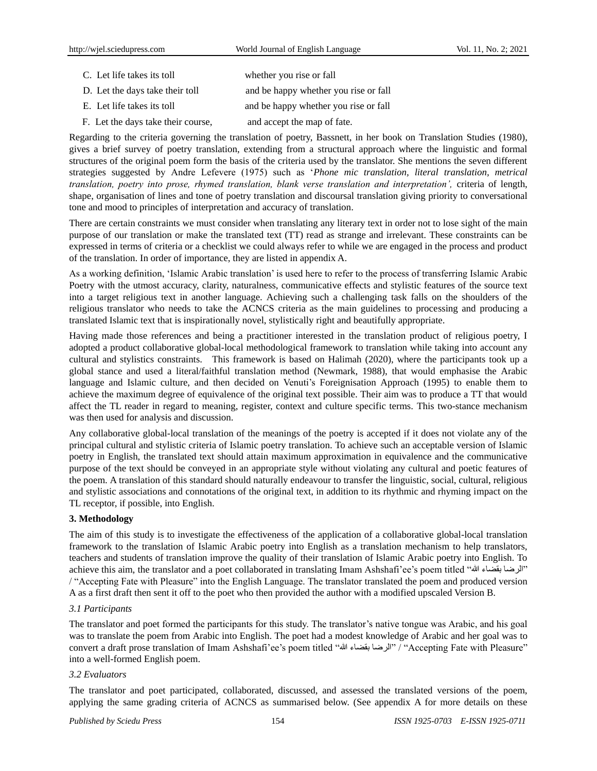- C. Let life takes its toll whether you rise or fall D. Let the days take their toll and be happy whether you rise or fall E. Let life takes its toll and be happy whether you rise or fall
- F. Let the days take their course, and accept the map of fate.

Regarding to the criteria governing the translation of poetry, Bassnett, in her book on Translation Studies (1980), gives a brief survey of poetry translation, extending from a structural approach where the linguistic and formal structures of the original poem form the basis of the criteria used by the translator. She mentions the seven different strategies suggested by Andre Lefevere (1975) such as "*Phone mic translation, literal translation, metrical translation, poetry into prose, rhymed translation, blank verse translation and interpretation',* criteria of length, shape, organisation of lines and tone of poetry translation and discoursal translation giving priority to conversational tone and mood to principles of interpretation and accuracy of translation.

There are certain constraints we must consider when translating any literary text in order not to lose sight of the main purpose of our translation or make the translated text (TT) read as strange and irrelevant. These constraints can be expressed in terms of criteria or a checklist we could always refer to while we are engaged in the process and product of the translation. In order of importance, they are listed in appendix A.

As a working definition, "Islamic Arabic translation" is used here to refer to the process of transferring Islamic Arabic Poetry with the utmost accuracy, clarity, naturalness, communicative effects and stylistic features of the source text into a target religious text in another language. Achieving such a challenging task falls on the shoulders of the religious translator who needs to take the ACNCS criteria as the main guidelines to processing and producing a translated Islamic text that is inspirationally novel, stylistically right and beautifully appropriate.

Having made those references and being a practitioner interested in the translation product of religious poetry, I adopted a product collaborative global-local methodological framework to translation while taking into account any cultural and stylistics constraints. This framework is based on Halimah (2020), where the participants took up a global stance and used a literal/faithful translation method (Newmark, 1988), that would emphasise the Arabic language and Islamic culture, and then decided on Venuti's Foreignisation Approach (1995) to enable them to achieve the maximum degree of equivalence of the original text possible. Their aim was to produce a TT that would affect the TL reader in regard to meaning, register, context and culture specific terms. This two-stance mechanism was then used for analysis and discussion.

Any collaborative global-local translation of the meanings of the poetry is accepted if it does not violate any of the principal cultural and stylistic criteria of Islamic poetry translation. To achieve such an acceptable version of Islamic poetry in English, the translated text should attain maximum approximation in equivalence and the communicative purpose of the text should be conveyed in an appropriate style without violating any cultural and poetic features of the poem. A translation of this standard should naturally endeavour to transfer the linguistic, social, cultural, religious and stylistic associations and connotations of the original text, in addition to its rhythmic and rhyming impact on the TL receptor, if possible, into English.

## **3. Methodology**

The aim of this study is to investigate the effectiveness of the application of a collaborative global-local translation framework to the translation of Islamic Arabic poetry into English as a translation mechanism to help translators, teachers and students of translation improve the quality of their translation of Islamic Arabic poetry into English. To achieve this aim, the translator and a poet collaborated in translating Imam Ashshafi'ee's poem titled "الرضا بقضاء الله" / "Accepting Fate with Pleasure" into the English Language. The translator translated the poem and produced version A as a first draft then sent it off to the poet who then provided the author with a modified upscaled Version B.

## *3.1 Participants*

The translator and poet formed the participants for this study. The translator"s native tongue was Arabic, and his goal was to translate the poem from Arabic into English. The poet had a modest knowledge of Arabic and her goal was to convert a draft prose translation of Imam Ashshafi"ee"s poem titled "هللا بقضاء اىشضا "/" Accepting Fate with Pleasure" into a well-formed English poem.

### *3.2 Evaluators*

The translator and poet participated, collaborated, discussed, and assessed the translated versions of the poem, applying the same grading criteria of ACNCS as summarised below. (See appendix A for more details on these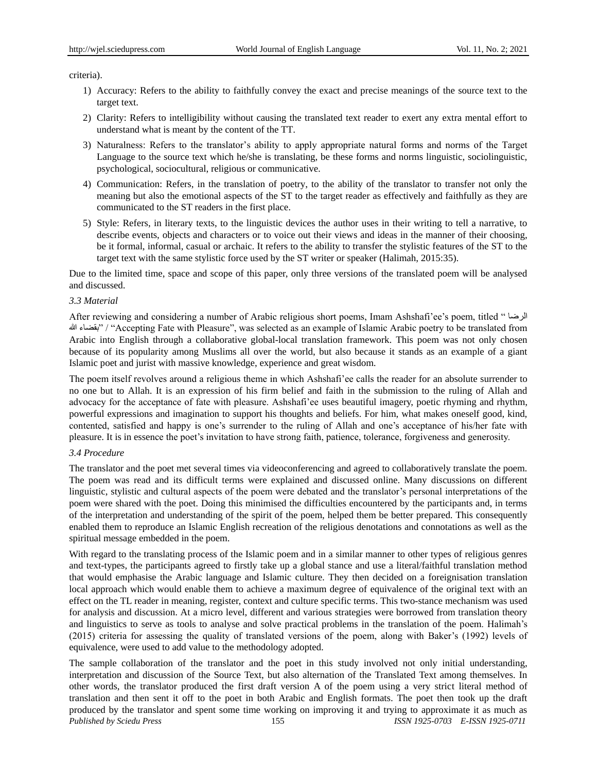criteria).

- 1) Accuracy: Refers to the ability to faithfully convey the exact and precise meanings of the source text to the target text.
- 2) Clarity: Refers to intelligibility without causing the translated text reader to exert any extra mental effort to understand what is meant by the content of the TT.
- 3) Naturalness: Refers to the translator"s ability to apply appropriate natural forms and norms of the Target Language to the source text which he/she is translating, be these forms and norms linguistic, sociolinguistic, psychological, sociocultural, religious or communicative.
- 4) Communication: Refers, in the translation of poetry, to the ability of the translator to transfer not only the meaning but also the emotional aspects of the ST to the target reader as effectively and faithfully as they are communicated to the ST readers in the first place.
- 5) Style: Refers, in literary texts, to the linguistic devices the author uses in their writing to tell a narrative, to describe events, objects and characters or to voice out their views and ideas in the manner of their choosing, be it formal, informal, casual or archaic. It refers to the ability to transfer the stylistic features of the ST to the target text with the same stylistic force used by the ST writer or speaker (Halimah, 2015:35).

Due to the limited time, space and scope of this paper, only three versions of the translated poem will be analysed and discussed.

#### *3.3 Material*

After reviewing and considering a number of Arabic religious short poems, Imam Ashshafi"ee"s poem, titled " اىشضا هللا بقضاء "/" Accepting Fate with Pleasure", was selected as an example of Islamic Arabic poetry to be translated from Arabic into English through a collaborative global-local translation framework. This poem was not only chosen because of its popularity among Muslims all over the world, but also because it stands as an example of a giant Islamic poet and jurist with massive knowledge, experience and great wisdom.

The poem itself revolves around a religious theme in which Ashshafi"ee calls the reader for an absolute surrender to no one but to Allah. It is an expression of his firm belief and faith in the submission to the ruling of Allah and advocacy for the acceptance of fate with pleasure. Ashshafi"ee uses beautiful imagery, poetic rhyming and rhythm, powerful expressions and imagination to support his thoughts and beliefs. For him, what makes oneself good, kind, contented, satisfied and happy is one"s surrender to the ruling of Allah and one"s acceptance of his/her fate with pleasure. It is in essence the poet"s invitation to have strong faith, patience, tolerance, forgiveness and generosity.

## *3.4 Procedure*

The translator and the poet met several times via videoconferencing and agreed to collaboratively translate the poem. The poem was read and its difficult terms were explained and discussed online. Many discussions on different linguistic, stylistic and cultural aspects of the poem were debated and the translator"s personal interpretations of the poem were shared with the poet. Doing this minimised the difficulties encountered by the participants and, in terms of the interpretation and understanding of the spirit of the poem, helped them be better prepared. This consequently enabled them to reproduce an Islamic English recreation of the religious denotations and connotations as well as the spiritual message embedded in the poem.

With regard to the translating process of the Islamic poem and in a similar manner to other types of religious genres and text-types, the participants agreed to firstly take up a global stance and use a literal/faithful translation method that would emphasise the Arabic language and Islamic culture. They then decided on a foreignisation translation local approach which would enable them to achieve a maximum degree of equivalence of the original text with an effect on the TL reader in meaning, register, context and culture specific terms. This two-stance mechanism was used for analysis and discussion. At a micro level, different and various strategies were borrowed from translation theory and linguistics to serve as tools to analyse and solve practical problems in the translation of the poem. Halimah"s (2015) criteria for assessing the quality of translated versions of the poem, along with Baker"s (1992) levels of equivalence, were used to add value to the methodology adopted.

*Published by Sciedu Press* 155 *ISSN 1925-0703 E-ISSN 1925-0711* The sample collaboration of the translator and the poet in this study involved not only initial understanding, interpretation and discussion of the Source Text, but also alternation of the Translated Text among themselves. In other words, the translator produced the first draft version A of the poem using a very strict literal method of translation and then sent it off to the poet in both Arabic and English formats. The poet then took up the draft produced by the translator and spent some time working on improving it and trying to approximate it as much as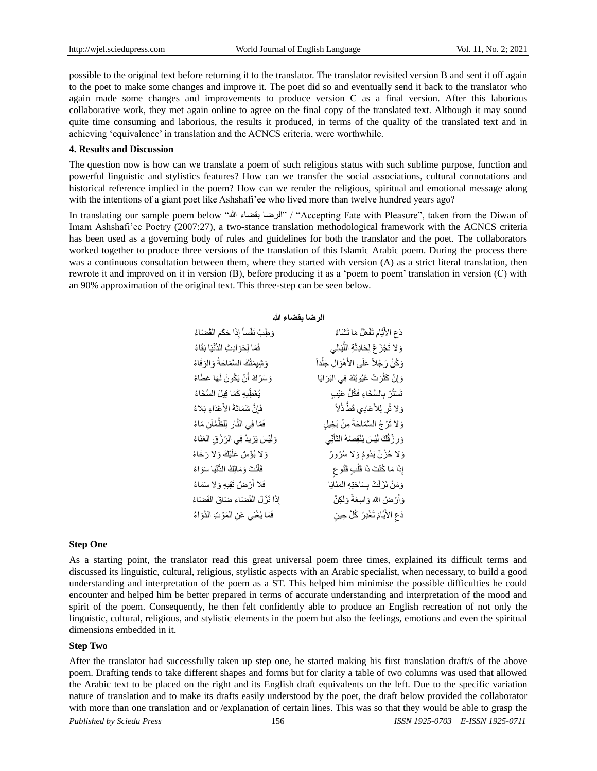possible to the original text before returning it to the translator. The translator revisited version B and sent it off again to the poet to make some changes and improve it. The poet did so and eventually send it back to the translator who again made some changes and improvements to produce version C as a final version. After this laborious collaborative work, they met again online to agree on the final copy of the translated text. Although it may sound quite time consuming and laborious, the results it produced, in terms of the quality of the translated text and in achieving "equivalence" in translation and the ACNCS criteria, were worthwhile.

#### **4. Results and Discussion**

The question now is how can we translate a poem of such religious status with such sublime purpose, function and powerful linguistic and stylistics features? How can we transfer the social associations, cultural connotations and historical reference implied in the poem? How can we render the religious, spiritual and emotional message along with the intentions of a giant poet like Ashshafi'ee who lived more than twelve hundred years ago?

In translating our sample poem below "الرضا بقضاء الله" / "Accepting Fate with Pleasure", taken from the Diwan of Imam Ashshafi'ee Poetry (2007:27), a two-stance translation methodological framework with the ACNCS criteria has been used as a governing body of rules and guidelines for both the translator and the poet. The collaborators worked together to produce three versions of the translation of this Islamic Arabic poem. During the process there was a continuous consultation between them, where they started with version (A) as a strict literal translation, then rewrote it and improved on it in version (B), before producing it as a "poem to poem" translation in version (C) with an 90% approximation of the original text. This three-step can be seen below.

#### **الرضا بقضاء هللا**

| دَعِ الأَيَّامَ تَفْعَلُ مَا تَشْاءُ        |
|---------------------------------------------|
| وَ لا تَجْزَعْ لِحَادِثَةِ اللَّيَالِي      |
| وَكُنْ رَجُلاً عَلَى الأَهْوَالِ جَلْداً    |
| وَ إِنْ كَثُّرَتْ عُيُوبُكَ فِي الْبَرَايَا |
| تَسَتَّرْ بِالْسَّخَاءِ فَكُلُّ عَيْبِ      |
| وَلا تُرٍ لِلأَعَادِي قَطَّ ذُلاً           |
| وَلا تَرْجُ السَّمَاحَةَ مِنْ بَخِيلِ       |
| وَرِ زُقُكَ لَيْسَ يُنْقِصُهُ النَّأَنِّى   |
| وَلا حُزْنٌ يَدُومُ وَلا سُرُورٌ            |
| إِذَا مَا كُنْتَ ذَا قَلْبٍ قَنُو ع         |
| وَمَنْ نَزَلَتْ بِسَاحَتِهِ الْمَنَايَا     |
| وَأَرْضُ اللهِ وَاسِعَةٌ وَلٰكِنْ           |
| دَعِ الأَيَّامَ تَغْدِرُ كُلَّ حِينِ        |
|                                             |

#### **Step One**

As a starting point, the translator read this great universal poem three times, explained its difficult terms and discussed its linguistic, cultural, religious, stylistic aspects with an Arabic specialist, when necessary, to build a good understanding and interpretation of the poem as a ST. This helped him minimise the possible difficulties he could encounter and helped him be better prepared in terms of accurate understanding and interpretation of the mood and spirit of the poem. Consequently, he then felt confidently able to produce an English recreation of not only the linguistic, cultural, religious, and stylistic elements in the poem but also the feelings, emotions and even the spiritual dimensions embedded in it.

#### **Step Two**

*Published by Sciedu Press* 156 *ISSN 1925-0703 E-ISSN 1925-0711* After the translator had successfully taken up step one, he started making his first translation draft/s of the above poem. Drafting tends to take different shapes and forms but for clarity a table of two columns was used that allowed the Arabic text to be placed on the right and its English draft equivalents on the left. Due to the specific variation nature of translation and to make its drafts easily understood by the poet, the draft below provided the collaborator with more than one translation and or /explanation of certain lines. This was so that they would be able to grasp the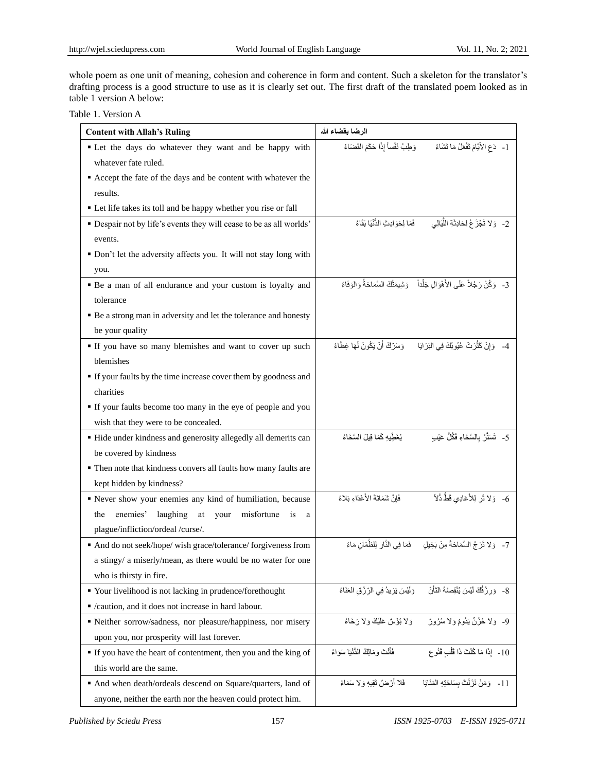whole poem as one unit of meaning, cohesion and coherence in form and content. Such a skeleton for the translator's drafting process is a good structure to use as it is clearly set out. The first draft of the translated poem looked as in table 1 version A below:

| Table 1. Version A |
|--------------------|
|--------------------|

| <b>Content with Allah's Ruling</b>                                  | الرضا بقضاء الله                                                                            |
|---------------------------------------------------------------------|---------------------------------------------------------------------------------------------|
| " Let the days do whatever they want and be happy with              | 1-   دَعِ الأَيَّامَ تَفْعَلُ مَا تَشَاءُ          وَطِبْ نَفْساً إِذَا حَكَمَ الْقَضَاءُ   |
| whatever fate ruled.                                                |                                                                                             |
| Accept the fate of the days and be content with whatever the        |                                                                                             |
| results.                                                            |                                                                                             |
| • Let life takes its toll and be happy whether you rise or fall     |                                                                                             |
| • Despair not by life's events they will cease to be as all worlds' | 2- ۖ وَ لا تَجْزَعْ لِحَادِثَةِ اللَّيَالِي ۖ فَمَا لِحَوَادِثِ الدُّنْيَا بَقَاءُ          |
| events.                                                             |                                                                                             |
| • Don't let the adversity affects you. It will not stay long with   |                                                                                             |
| you.                                                                |                                                                                             |
| • Be a man of all endurance and your custom is loyalty and          | 3-   وَكُنْ رَجُلاً عَلَى الأَهْوَال جَلْداً    وَشِيمَتْكَ السَّمَاحَةُ وَالوَفَاءُ        |
| tolerance                                                           |                                                                                             |
| • Be a strong man in adversity and let the tolerance and honesty    |                                                                                             |
| be your quality                                                     |                                                                                             |
| If you have so many blemishes and want to cover up such             | 4-    وَإِنْ كَثْرَتْ عُيُوبُكَ فِي الْبَرَايَا        وَسَرِّكَ أَنْ يَكُونَ لَهَا غِطَاءُ |
| blemishes                                                           |                                                                                             |
| If your faults by the time increase cover them by goodness and      |                                                                                             |
| charities                                                           |                                                                                             |
| If your faults become too many in the eye of people and you         |                                                                                             |
| wish that they were to be concealed.                                |                                                                                             |
| • Hide under kindness and generosity allegedly all demerits can     | 5-   تَسَتَّرْ  بِالْسَّخَاءِ فَكُلُّ عَيْب<br>يُغَطِّيهِ كَمَا قِيلَ السَّخَاءُ            |
| be covered by kindness                                              |                                                                                             |
| • Then note that kindness convers all faults how many faults are    |                                                                                             |
| kept hidden by kindness?                                            |                                                                                             |
| Rever show your enemies any kind of humiliation, because            | 6- ۖ وَلا تُر لِلأَعَادِي قَطُّ ذُلاً ۖ<br>فَإِنَّ شَمَاتَةَ الأَعْدَاءِ بَلاءُ             |
| enemies' laughing<br>misfortune is<br>the<br>at your<br>a           |                                                                                             |
| plague/infliction/ordeal /curse/.                                   |                                                                                             |
| And do not seek/hope/ wish grace/tolerance/ forgiveness from        | 7- ۚ وَلا تَرْجُ السَّمَاحَةَ مِنْ بَخِيلِ ۚ ۖ فَمَا فِي النَّارِ لِلظَّمْآنِ مَاءُ         |
| a stingy/ a miserly/mean, as there would be no water for one        |                                                                                             |
| who is thirsty in fire.                                             |                                                                                             |
| " Your livelihood is not lacking in prudence/forethought            | 8- وَرِزْقُكَ لَيْسَ يُنْقِصُهُ النَّأَنّ<br>وَلَيْسَ يَزِيدُ فِي الرّزْقِ العَنَاءُ        |
| " /caution, and it does not increase in hard labour.                |                                                                                             |
| Reither sorrow/sadness, nor pleasure/happiness, nor misery          | 9- وَلا خُزْنٌ يَدُومُ وَلا سُرُورٌ<br>وَ لا بُؤْسٌ عَلَيْكَ وَ لا رَ خَاءُ                 |
| upon you, nor prosperity will last forever.                         |                                                                                             |
| If you have the heart of contentment, then you and the king of      | فَأَنْتَ وَ مَالَكُ الدُّنْيَا سَوَ اءُ<br>10- ۖ إِذَا مَا كُنْتَ ذَا قَلْبِ قَنُو ع        |
| this world are the same.                                            |                                                                                             |
| And when death/ordeals descend on Square/quarters, land of          | فَلا أَرْضٌ تَقِيهِ وَ لا سَمَاءُ<br>11- ﴿ وَمَنْ نَزَلَتْ بِسَاحَتِهِ الْمَنَايَا          |
| anyone, neither the earth nor the heaven could protect him.         |                                                                                             |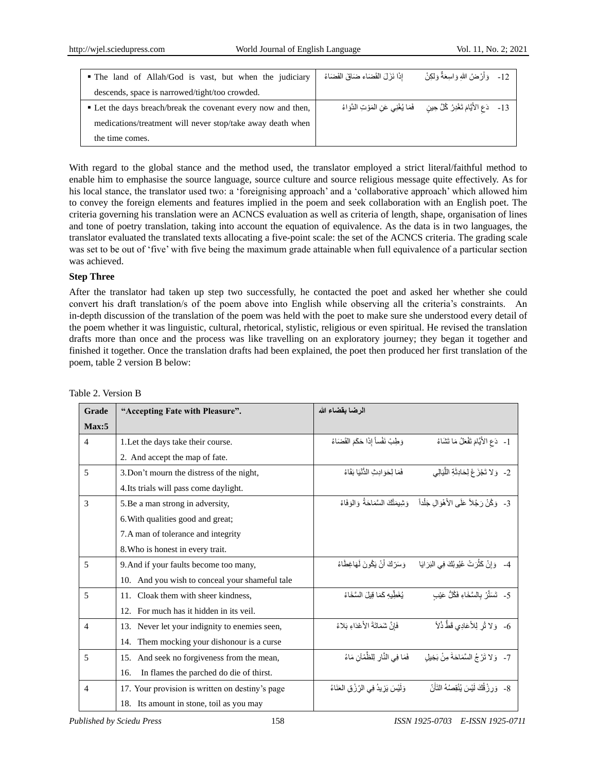| • The land of Allah/God is vast, but when the judiciary      | إِذَا نَزَلَ الْقَضَاءِ ضَاقَ الْفَضَاءُ                                                 | 12- ﴿ وَأَرْ صَٰنُ اللهِ وَ اسِعَةٌ وَ لَٰكِنْ |  |
|--------------------------------------------------------------|------------------------------------------------------------------------------------------|------------------------------------------------|--|
| descends, space is narrowed/tight/too crowded.               |                                                                                          |                                                |  |
| • Let the days breach/break the covenant every now and then, | 13-    دَعِ الأَيَّامَ تَغْدِرُ كُلَّ حِين       فَمَا يُغْنِي عَنِ الْمَوْتِ الذَّوَاءُ |                                                |  |
| medications/treatment will never stop/take away death when   |                                                                                          |                                                |  |
| the time comes.                                              |                                                                                          |                                                |  |

With regard to the global stance and the method used, the translator employed a strict literal/faithful method to enable him to emphasise the source language, source culture and source religious message quite effectively. As for his local stance, the translator used two: a 'foreignising approach' and a 'collaborative approach' which allowed him to convey the foreign elements and features implied in the poem and seek collaboration with an English poet. The criteria governing his translation were an ACNCS evaluation as well as criteria of length, shape, organisation of lines and tone of poetry translation, taking into account the equation of equivalence. As the data is in two languages, the translator evaluated the translated texts allocating a five-point scale: the set of the ACNCS criteria. The grading scale was set to be out of 'five' with five being the maximum grade attainable when full equivalence of a particular section was achieved.

## **Step Three**

After the translator had taken up step two successfully, he contacted the poet and asked her whether she could convert his draft translation/s of the poem above into English while observing all the criteria's constraints. An in-depth discussion of the translation of the poem was held with the poet to make sure she understood every detail of the poem whether it was linguistic, cultural, rhetorical, stylistic, religious or even spiritual. He revised the translation drafts more than once and the process was like travelling on an exploratory journey; they began it together and finished it together. Once the translation drafts had been explained, the poet then produced her first translation of the poem, table 2 version B below:

| Grade          | "Accepting Fate with Pleasure".                 | الرضا بقضاء الله                          |                                                                                         |
|----------------|-------------------------------------------------|-------------------------------------------|-----------------------------------------------------------------------------------------|
| Max:5          |                                                 |                                           |                                                                                         |
| $\overline{4}$ | 1. Let the days take their course.              | وَطِبْ نَفْساً إِذَا حَكَمَ الْقَضَاءُ    | 1- دَعِ الأَيَّامَ تَفْعَلُ مَا تَشَاءُ                                                 |
|                | 2. And accept the map of fate.                  |                                           |                                                                                         |
| 5              | 3. Don't mourn the distress of the night,       | فَمَا لِحَوَ ادِبْ الدُّنْيَا بَقَاءُ     | 2- ۖ وَ لا تَجْزَعْ لِحَادِثَةِ اللَّيَالِي                                             |
|                | 4. Its trials will pass come daylight.          |                                           |                                                                                         |
| 3              | 5. Be a man strong in adversity,                |                                           | 3- ۖ وَكُنْ رَجُلاً عَلَى الأَهْوَالِ جَلْداً ۖ وَشِيمَتُكَ السَّمَاحَةُ ۚ وَالْوَفَاءُ |
|                | 6. With qualities good and great;               |                                           |                                                                                         |
|                | 7. A man of tolerance and integrity             |                                           |                                                                                         |
|                | 8. Who is honest in every trait.                |                                           |                                                                                         |
| 5              | 9. And if your faults become too many,          | وَسَرِّكَ أَنْ يَكُونَ لَهَاغِطَاءُ       | 4- ۖ وَإِنْ كَثُرَتْ عُيُوبُكَ فِي الْبَرَايَا                                          |
|                | 10. And you wish to conceal your shameful tale  |                                           |                                                                                         |
| 5              | 11. Cloak them with sheer kindness,             | نُغَطِّبِهِ كَمَا قِبلَ السَّخَاءُ        | 5-   تَسَتَّرْ بِالسَّخَاءِ فَكُلُّ عَيْبِ                                              |
|                | For much has it hidden in its yeil.<br>12.      |                                           |                                                                                         |
| $\overline{4}$ | 13. Never let your indignity to enemies seen,   | فَإِنَّ شَمَاتَةَ الأَعْدَاءِ بَلاءُ      | 6- ۖ وَلا تُر لِلأَعَادِي قَطُّ ذُلاً ۖ                                                 |
|                | Them mocking your dishonour is a curse<br>14.   |                                           |                                                                                         |
| 5              | 15. And seek no forgiveness from the mean,      | فَمَا فِي النَّارِ لِلظِّمْآنِ مَاءُ      | 7- ۖ وَ لا تَرْجُ السَّمَاحَةَ مِنْ بَخِيل                                              |
|                | In flames the parched do die of thirst.<br>16.  |                                           |                                                                                         |
| $\overline{4}$ | 17. Your provision is written on destiny's page | وَلَيْسَ يَزِيدُ فِي الرِّزْقِ الْعَنَاءُ | 8- ۖ وَرِزْ قُكَ لَيْسَ يُنْقِصُهُ النَّأَنّ                                            |
|                | 18. Its amount in stone, toil as you may        |                                           |                                                                                         |

## Table 2. Version B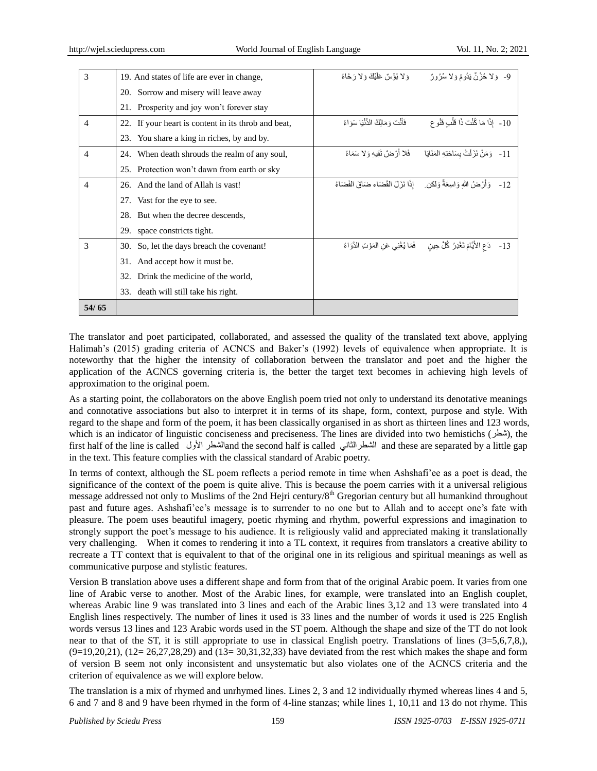| 3              | 19. And states of life are ever in change,          | وَلا بُؤْسٌ عَلَيْكَ وَلا رَخَاءُ                                                   | 9- ۖ وَلا خُزْنٌ يَدُومُ وَلا سُرُورٌ                                              |
|----------------|-----------------------------------------------------|-------------------------------------------------------------------------------------|------------------------------------------------------------------------------------|
|                |                                                     |                                                                                     |                                                                                    |
|                | 20. Sorrow and misery will leave away               |                                                                                     |                                                                                    |
|                | Prosperity and joy won't forever stay<br>21.        |                                                                                     |                                                                                    |
| $\overline{4}$ | 22. If your heart is content in its throb and beat, | فَأَنْتَ وَ مَالِكُ الدُّنْيَا سَوَ اءُ                                             | 10- إِذَا مَا كُنْتَ ذَا قَلْبِ قَنُو ع                                            |
|                | You share a king in riches, by and by.<br>23.       |                                                                                     |                                                                                    |
| $\overline{4}$ | When death shrouds the realm of any soul,<br>24.    | فَلا أَرْضُ تَقِيهِ وَلا سَمَاءُ                                                    | 11- _ وَمَنْ نَزَلْتْ بِسَاحَتِهِ الْمَنَايَا                                      |
|                | 25. Protection won't dawn from earth or sky         |                                                                                     |                                                                                    |
| $\overline{4}$ | And the land of Allah is vast!<br>26.               |                                                                                     | 12- ﴿ وَأَرْضُ اللَّهِ وَاسِعَةٌ وَلَكِن ﴾ [ذَا نَزَلَ الْقَضَاءِ ضَاقَ الْفَضَاءُ |
|                | Vast for the eye to see.<br>27.                     |                                                                                     |                                                                                    |
|                | 28. But when the decree descends,                   |                                                                                     |                                                                                    |
|                | space constricts tight.<br>29.                      |                                                                                     |                                                                                    |
| 3              | So, let the days breach the covenant!<br>30.        | دَعِ الأَيَّامَ تَغْدِرُ  كُلَّ حِينٍ        فَمَا يُغْنِي عَنِ المَوْتِ الدَّوَاءُ | $-13$                                                                              |
|                | And accept how it must be.<br>31.                   |                                                                                     |                                                                                    |
|                | Drink the medicine of the world,<br>32.             |                                                                                     |                                                                                    |
|                | 33. death will still take his right.                |                                                                                     |                                                                                    |
| 54/65          |                                                     |                                                                                     |                                                                                    |

The translator and poet participated, collaborated, and assessed the quality of the translated text above, applying Halimah's (2015) grading criteria of ACNCS and Baker's (1992) levels of equivalence when appropriate. It is noteworthy that the higher the intensity of collaboration between the translator and poet and the higher the application of the ACNCS governing criteria is, the better the target text becomes in achieving high levels of approximation to the original poem.

As a starting point, the collaborators on the above English poem tried not only to understand its denotative meanings and connotative associations but also to interpret it in terms of its shape, form, context, purpose and style. With regard to the shape and form of the poem, it has been classically organised in as short as thirteen lines and 123 words, which is an indicator of linguistic conciseness and preciseness. The lines are divided into two hemistichs (شطن), the first half of the line is called األوه اىشطشand the second half is called ًّاىشطشاىثا and these are separated by a little gap in the text. This feature complies with the classical standard of Arabic poetry.

In terms of context, although the SL poem reflects a period remote in time when Ashshafi"ee as a poet is dead, the significance of the context of the poem is quite alive. This is because the poem carries with it a universal religious message addressed not only to Muslims of the 2nd Hejri century/8<sup>th</sup> Gregorian century but all humankind throughout past and future ages. Ashshafi'ee's message is to surrender to no one but to Allah and to accept one's fate with pleasure. The poem uses beautiful imagery, poetic rhyming and rhythm, powerful expressions and imagination to strongly support the poet's message to his audience. It is religiously valid and appreciated making it translationally very challenging. When it comes to rendering it into a TL context, it requires from translators a creative ability to recreate a TT context that is equivalent to that of the original one in its religious and spiritual meanings as well as communicative purpose and stylistic features.

Version B translation above uses a different shape and form from that of the original Arabic poem. It varies from one line of Arabic verse to another. Most of the Arabic lines, for example, were translated into an English couplet, whereas Arabic line 9 was translated into 3 lines and each of the Arabic lines 3,12 and 13 were translated into 4 English lines respectively. The number of lines it used is 33 lines and the number of words it used is 225 English words versus 13 lines and 123 Arabic words used in the ST poem. Although the shape and size of the TT do not look near to that of the ST, it is still appropriate to use in classical English poetry. Translations of lines (3=5,6,7,8),  $(9=19,20,21)$ ,  $(12=26,27,28,29)$  and  $(13=30,31,32,33)$  have deviated from the rest which makes the shape and form of version B seem not only inconsistent and unsystematic but also violates one of the ACNCS criteria and the criterion of equivalence as we will explore below.

The translation is a mix of rhymed and unrhymed lines. Lines 2, 3 and 12 individually rhymed whereas lines 4 and 5, 6 and 7 and 8 and 9 have been rhymed in the form of 4-line stanzas; while lines 1, 10,11 and 13 do not rhyme. This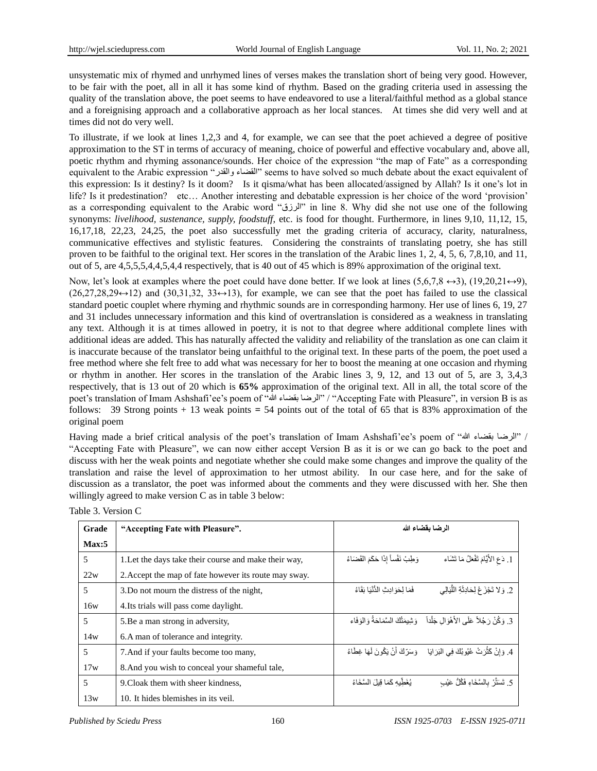unsystematic mix of rhymed and unrhymed lines of verses makes the translation short of being very good. However, to be fair with the poet, all in all it has some kind of rhythm. Based on the grading criteria used in assessing the quality of the translation above, the poet seems to have endeavored to use a literal/faithful method as a global stance and a foreignising approach and a collaborative approach as her local stances. At times she did very well and at times did not do very well.

To illustrate, if we look at lines 1,2,3 and 4, for example, we can see that the poet achieved a degree of positive approximation to the ST in terms of accuracy of meaning, choice of powerful and effective vocabulary and, above all, poetic rhythm and rhyming assonance/sounds. Her choice of the expression "the map of Fate" as a corresponding equivalent to the Arabic expression "واىقذس اىقضاء "seems to have solved so much debate about the exact equivalent of this expression: Is it destiny? Is it doom? Is it qisma/what has been allocated/assigned by Allah? Is it one"s lot in life? Is it predestination? etc… Another interesting and debatable expression is her choice of the word "provision" as a corresponding equivalent to the Arabic word "اىشصق "in line 8. Why did she not use one of the following synonyms: *livelihood, sustenance, supply, foodstuff*, etc. is food for thought. Furthermore, in lines 9,10, 11,12, 15, 16,17,18, 22,23, 24,25, the poet also successfully met the grading criteria of accuracy, clarity, naturalness, communicative effectives and stylistic features. Considering the constraints of translating poetry, she has still proven to be faithful to the original text. Her scores in the translation of the Arabic lines 1, 2, 4, 5, 6, 7,8,10, and 11, out of 5, are 4,5,5,5,4,4,5,4,4 respectively, that is 40 out of 45 which is 89% approximation of the original text.

Now, let's look at examples where the poet could have done better. If we look at lines (5,6,7,8  $\leftrightarrow$ 3), (19,20,21 $\leftrightarrow$ 9),  $(26.27.28.29 \leftrightarrow 12)$  and  $(30.31.32, 33 \leftrightarrow 13)$ , for example, we can see that the poet has failed to use the classical standard poetic couplet where rhyming and rhythmic sounds are in corresponding harmony. Her use of lines 6, 19, 27 and 31 includes unnecessary information and this kind of overtranslation is considered as a weakness in translating any text. Although it is at times allowed in poetry, it is not to that degree where additional complete lines with additional ideas are added. This has naturally affected the validity and reliability of the translation as one can claim it is inaccurate because of the translator being unfaithful to the original text. In these parts of the poem, the poet used a free method where she felt free to add what was necessary for her to boost the meaning at one occasion and rhyming or rhythm in another. Her scores in the translation of the Arabic lines 3, 9, 12, and 13 out of 5, are 3, 3,4,3 respectively, that is 13 out of 20 which is **65%** approximation of the original text. All in all, the total score of the poet"s translation of Imam Ashshafi"ee"s poem of "هللا بقضاء اىشضا "/" Accepting Fate with Pleasure", in version B is as follows: 39 Strong points + 13 weak points **=** 54 points out of the total of 65 that is 83% approximation of the original poem

Having made a brief critical analysis of the poet"s translation of Imam Ashshafi"ee"s poem of "هللا بقضاء اىشضا "/ "Accepting Fate with Pleasure", we can now either accept Version B as it is or we can go back to the poet and discuss with her the weak points and negotiate whether she could make some changes and improve the quality of the translation and raise the level of approximation to her utmost ability. In our case here, and for the sake of discussion as a translator, the poet was informed about the comments and they were discussed with her. She then willingly agreed to make version C as in table 3 below:

| Grade | "Accepting Fate with Pleasure".                       |                                        | المرضا بقضاء الله                                                                       |
|-------|-------------------------------------------------------|----------------------------------------|-----------------------------------------------------------------------------------------|
| Max:5 |                                                       |                                        |                                                                                         |
| 5     | 1. Let the days take their course and make their way, | وَطِبْ نَفْساً إِذَا حَكَمَ القَضَاءُ  | 1. دَعِ الأَيَّامَ تَفْعَلُ مَا تَشَاء                                                  |
| 22w   | 2. Accept the map of fate however its route may sway. |                                        |                                                                                         |
| 5     | 3. Do not mourn the distress of the night,            | فَمَا لَحَوَ ادِبْ الْدُّنْبَا بَقَاءُ | 2. وَ لا تَجْزَعْ لِحَادِثَةِ اللَّيَالِي                                               |
| 16w   | 4. Its trials will pass come daylight.                |                                        |                                                                                         |
| 5     | 5. Be a man strong in adversity,                      |                                        | 3. وَ كُنْ رَ جُلاً عَلَى الأَهْوَ ال جَلْداً ۖ وَ شِيمَتُكَ السَّمَاحَةُ وَ الْوَ فَاء |
| 14w   | 6. A man of tolerance and integrity.                  |                                        |                                                                                         |
| 5     | 7. And if your faults become too many,                |                                        | 4. وَإِنْ كَثْرَتْ عُيُوبُكَ فِي الْبَرَايَا ۖ وَسَرِّكَ أَنْ يَكُونَ لَهَا غِطَاءُ     |
| 17w   | 8. And you wish to conceal your shameful tale,        |                                        |                                                                                         |
| 5     | 9. Cloak them with sheer kindness,                    | يُغَطِّبِه كَمَا قِيلَ السَّخَاءُ      | 5. تَسَتَّرْ بِالسَّخَاءِ فَكُلُّ عَيْب                                                 |
| 13w   | 10. It hides blemishes in its veil.                   |                                        |                                                                                         |

Table 3. Version C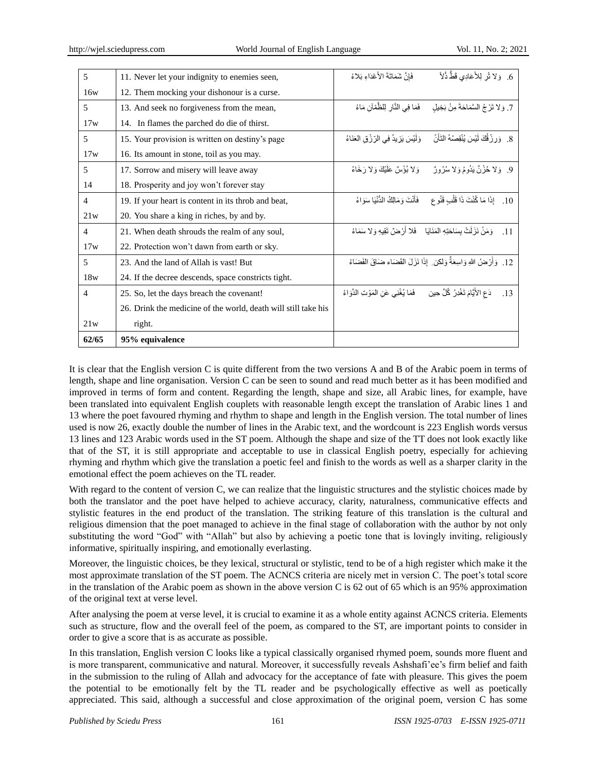| 5              | 11. Never let your indignity to enemies seen,                  | فَإِنَّ شَمَاتَةَ الأَعْدَاءِ بَلاءُ                                                 | 6. وَلا تُر لِلأَعَادِي قَطُّ ذُلاً                                                      |
|----------------|----------------------------------------------------------------|--------------------------------------------------------------------------------------|------------------------------------------------------------------------------------------|
| 16w            | 12. Them mocking your dishonour is a curse.                    |                                                                                      |                                                                                          |
| 5              | 13. And seek no forgiveness from the mean,                     | فَمَا فِي النَّارِ لِلظُّمْآنِ مَاءُ                                                 | 7. وَ لا تَرْ جُ السَّمَاحَةَ مِنْ بَخِيلِ                                               |
| 17w            | 14. In flames the parched do die of thirst.                    |                                                                                      |                                                                                          |
| 5              | 15. Your provision is written on destiny's page                | وَلَيْسَ يَزِيدُ فِي الرِّزْقِ الْعَنَاءُ                                            | 8. ۖ وَرِزْ قُكَ لَيْسَ يُنْقِصُهُ النَّأْنّ                                             |
| 17w            | 16. Its amount in stone, toil as you may.                      |                                                                                      |                                                                                          |
| 5              | 17. Sorrow and misery will leave away                          |                                                                                      | 9. وَلا حُزْنٌ يَدُومُ وَلا سُرُورٌ وَلا بُؤْسٌ عَلَيْكَ وَلا رَخَاءُ                    |
| 14             | 18. Prosperity and joy won't forever stay                      |                                                                                      |                                                                                          |
| $\overline{4}$ | 19. If your heart is content in its throb and beat,            |                                                                                      | 10 .    إذَا مَا كُنْتَ ذَا قَلْبِ قَنُو عِ      فَأَنْتَ وَمَالِكُ الدُّنْيَا سَوَاءُ   |
| 21w            | 20. You share a king in riches, by and by.                     |                                                                                      |                                                                                          |
| $\overline{4}$ | 21. When death shrouds the realm of any soul,                  |                                                                                      | وَ مَنْ نَزَ لَتْ بِسَاحَتِهِ الْمَنَايَا ﴾ فَلا أَرْ صَلِّ تَقِيهِ وَ لا سَمَاءُ<br>.11 |
| 17w            | 22. Protection won't dawn from earth or sky.                   |                                                                                      |                                                                                          |
| 5              | 23. And the land of Allah is vast! But                         |                                                                                      | 12. ۚ وَأَرْضُ اللهِ وَاسِعَةٌ وَلِكِن ِ إِذَا نَزَلَ الْقَضَاءِ ضَاقَ الْفَضَاءُ        |
| 18w            | 24. If the decree descends, space constricts tight.            |                                                                                      |                                                                                          |
| $\overline{4}$ | 25. So, let the days breach the covenant!                      | دَعِ الأَيَّامَ تَغْدِرُ  كُلَّ حِينٍ        فَمَا يُغْنِي عَنِ الْمَوْتِ الدَّوَاءُ | .13                                                                                      |
|                | 26. Drink the medicine of the world, death will still take his |                                                                                      |                                                                                          |
| 21w            | right.                                                         |                                                                                      |                                                                                          |
| 62/65          | 95% equivalence                                                |                                                                                      |                                                                                          |

It is clear that the English version C is quite different from the two versions A and B of the Arabic poem in terms of length, shape and line organisation. Version C can be seen to sound and read much better as it has been modified and improved in terms of form and content. Regarding the length, shape and size, all Arabic lines, for example, have been translated into equivalent English couplets with reasonable length except the translation of Arabic lines 1 and 13 where the poet favoured rhyming and rhythm to shape and length in the English version. The total number of lines used is now 26, exactly double the number of lines in the Arabic text, and the wordcount is 223 English words versus 13 lines and 123 Arabic words used in the ST poem. Although the shape and size of the TT does not look exactly like that of the ST, it is still appropriate and acceptable to use in classical English poetry, especially for achieving rhyming and rhythm which give the translation a poetic feel and finish to the words as well as a sharper clarity in the emotional effect the poem achieves on the TL reader.

With regard to the content of version C, we can realize that the linguistic structures and the stylistic choices made by both the translator and the poet have helped to achieve accuracy, clarity, naturalness, communicative effects and stylistic features in the end product of the translation. The striking feature of this translation is the cultural and religious dimension that the poet managed to achieve in the final stage of collaboration with the author by not only substituting the word "God" with "Allah" but also by achieving a poetic tone that is lovingly inviting, religiously informative, spiritually inspiring, and emotionally everlasting.

Moreover, the linguistic choices, be they lexical, structural or stylistic, tend to be of a high register which make it the most approximate translation of the ST poem. The ACNCS criteria are nicely met in version C. The poet"s total score in the translation of the Arabic poem as shown in the above version C is 62 out of 65 which is an 95% approximation of the original text at verse level.

After analysing the poem at verse level, it is crucial to examine it as a whole entity against ACNCS criteria. Elements such as structure, flow and the overall feel of the poem, as compared to the ST, are important points to consider in order to give a score that is as accurate as possible.

In this translation, English version C looks like a typical classically organised rhymed poem, sounds more fluent and is more transparent, communicative and natural. Moreover, it successfully reveals Ashshafi"ee"s firm belief and faith in the submission to the ruling of Allah and advocacy for the acceptance of fate with pleasure. This gives the poem the potential to be emotionally felt by the TL reader and be psychologically effective as well as poetically appreciated. This said, although a successful and close approximation of the original poem, version C has some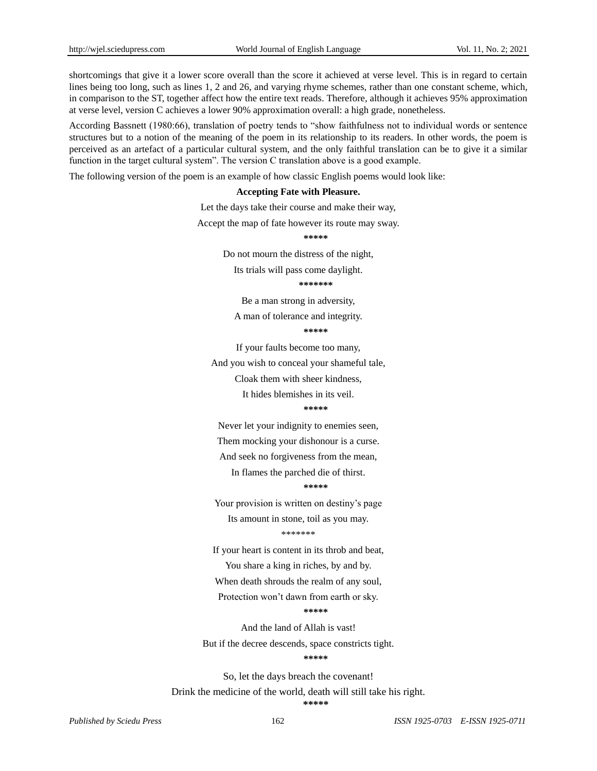shortcomings that give it a lower score overall than the score it achieved at verse level. This is in regard to certain lines being too long, such as lines 1, 2 and 26, and varying rhyme schemes, rather than one constant scheme, which, in comparison to the ST, together affect how the entire text reads. Therefore, although it achieves 95% approximation at verse level, version C achieves a lower 90% approximation overall: a high grade, nonetheless.

According Bassnett (1980:66), translation of poetry tends to "show faithfulness not to individual words or sentence structures but to a notion of the meaning of the poem in its relationship to its readers. In other words, the poem is perceived as an artefact of a particular cultural system, and the only faithful translation can be to give it a similar function in the target cultural system". The version C translation above is a good example.

The following version of the poem is an example of how classic English poems would look like:

#### **Accepting Fate with Pleasure.**

Let the days take their course and make their way,

Accept the map of fate however its route may sway.

**\*\*\*\*\***

Do not mourn the distress of the night,

Its trials will pass come daylight.

**\*\*\*\*\*\*\***

Be a man strong in adversity,

A man of tolerance and integrity.

**\*\*\*\*\***

If your faults become too many,

And you wish to conceal your shameful tale,

Cloak them with sheer kindness,

It hides blemishes in its veil.

#### **\*\*\*\*\***

Never let your indignity to enemies seen,

Them mocking your dishonour is a curse.

And seek no forgiveness from the mean,

In flames the parched die of thirst.

**\*\*\*\*\***

Your provision is written on destiny's page Its amount in stone, toil as you may. \*\*\*\*\*\*\*

If your heart is content in its throb and beat,

You share a king in riches, by and by.

When death shrouds the realm of any soul,

Protection won"t dawn from earth or sky.

#### **\*\*\*\*\***

And the land of Allah is vast!

But if the decree descends, space constricts tight.

**\*\*\*\*\***

So, let the days breach the covenant! Drink the medicine of the world, death will still take his right. **\*\*\*\*\***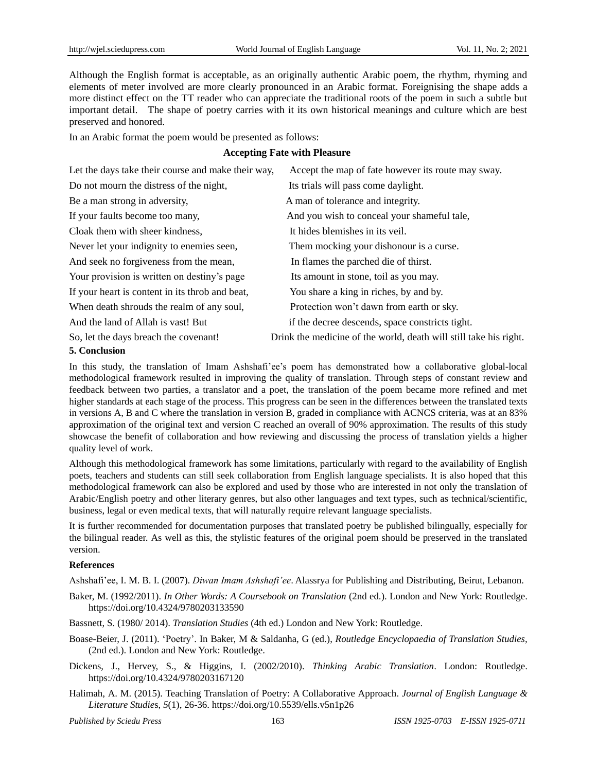Although the English format is acceptable, as an originally authentic Arabic poem, the rhythm, rhyming and elements of meter involved are more clearly pronounced in an Arabic format. Foreignising the shape adds a more distinct effect on the TT reader who can appreciate the traditional roots of the poem in such a subtle but important detail. The shape of poetry carries with it its own historical meanings and culture which are best preserved and honored.

In an Arabic format the poem would be presented as follows:

## **Accepting Fate with Pleasure**

| Let the days take their course and make their way, | Accept the map of fate however its route may sway.                |
|----------------------------------------------------|-------------------------------------------------------------------|
| Do not mourn the distress of the night,            | Its trials will pass come daylight.                               |
| Be a man strong in adversity,                      | A man of tolerance and integrity.                                 |
| If your faults become too many,                    | And you wish to conceal your shameful tale,                       |
| Cloak them with sheer kindness,                    | It hides blemishes in its veil.                                   |
| Never let your indignity to enemies seen,          | Them mocking your dishonour is a curse.                           |
| And seek no forgiveness from the mean,             | In flames the parched die of thirst.                              |
| Your provision is written on destiny's page        | Its amount in stone, toil as you may.                             |
| If your heart is content in its throb and beat,    | You share a king in riches, by and by.                            |
| When death shrouds the realm of any soul,          | Protection won't dawn from earth or sky.                          |
| And the land of Allah is vast! But                 | if the decree descends, space constricts tight.                   |
| So, let the days breach the covenant!              | Drink the medicine of the world, death will still take his right. |
| $E = C \cdot \frac{1}{2}$                          |                                                                   |

#### **5. Conclusion**

In this study, the translation of Imam Ashshafi'ee's poem has demonstrated how a collaborative global-local methodological framework resulted in improving the quality of translation. Through steps of constant review and feedback between two parties, a translator and a poet, the translation of the poem became more refined and met higher standards at each stage of the process. This progress can be seen in the differences between the translated texts in versions A, B and C where the translation in version B, graded in compliance with ACNCS criteria, was at an 83% approximation of the original text and version C reached an overall of 90% approximation. The results of this study showcase the benefit of collaboration and how reviewing and discussing the process of translation yields a higher quality level of work.

Although this methodological framework has some limitations, particularly with regard to the availability of English poets, teachers and students can still seek collaboration from English language specialists. It is also hoped that this methodological framework can also be explored and used by those who are interested in not only the translation of Arabic/English poetry and other literary genres, but also other languages and text types, such as technical/scientific, business, legal or even medical texts, that will naturally require relevant language specialists.

It is further recommended for documentation purposes that translated poetry be published bilingually, especially for the bilingual reader. As well as this, the stylistic features of the original poem should be preserved in the translated version.

## **References**

Ashshafi"ee, I. M. B. I. (2007). *Diwan Imam Ashshafi'ee*. Alassrya for Publishing and Distributing, Beirut, Lebanon.

Baker, M. (1992/2011). *In Other Words: A Coursebook on Translation* (2nd ed.). London and New York: Routledge. https://doi.org/10.4324/9780203133590

Bassnett, S. (1980/ 2014). *Translation Studies* (4th ed.) London and New York: Routledge.

- Boase-Beier, J. (2011). "Poetry". In Baker, M & Saldanha, G (ed.), *Routledge Encyclopaedia of Translation Studies,*  (2nd ed.). London and New York: Routledge.
- Dickens, J., Hervey, S., & Higgins, I. (2002/2010). *Thinking Arabic Translation*. London: Routledge. https://doi.org/10.4324/9780203167120
- Halimah, A. M. (2015). Teaching Translation of Poetry: A Collaborative Approach. *Journal of English Language & Literature Studie*s, *5*(1), 26-36. https://doi.org/10.5539/ells.v5n1p26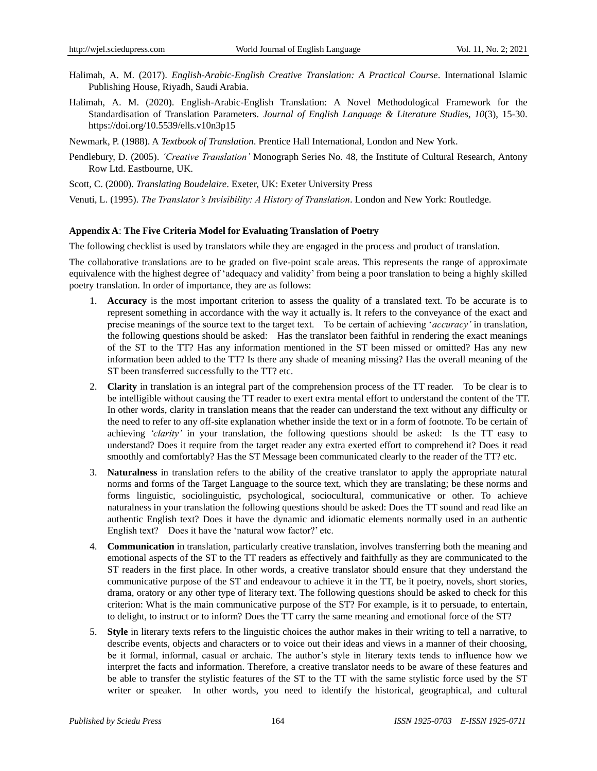- Halimah, A. M. (2017). *English-Arabic-English Creative Translation: A Practical Course*. International Islamic Publishing House, Riyadh, Saudi Arabia.
- Halimah, A. M. (2020). English-Arabic-English Translation: A Novel Methodological Framework for the Standardisation of Translation Parameters. *Journal of English Language & Literature Studie*s, *10*(3), 15-30. https://doi.org/10.5539/ells.v10n3p15
- Newmark, P. (1988). A *Textbook of Translation*. Prentice Hall International, London and New York.
- Pendlebury, D. (2005). *'Creative Translation'* Monograph Series No. 48, the Institute of Cultural Research, Antony Row Ltd. Eastbourne, UK.
- Scott, C. (2000). *Translating Boudelaire*. Exeter, UK: Exeter University Press
- Venuti, L. (1995). *The Translator's Invisibility: A History of Translation*. London and New York: Routledge.

#### **Appendix A**: **The Five Criteria Model for Evaluating Translation of Poetry**

The following checklist is used by translators while they are engaged in the process and product of translation.

The collaborative translations are to be graded on five-point scale areas. This represents the range of approximate equivalence with the highest degree of "adequacy and validity" from being a poor translation to being a highly skilled poetry translation. In order of importance, they are as follows:

- 1. **Accuracy** is the most important criterion to assess the quality of a translated text. To be accurate is to represent something in accordance with the way it actually is. It refers to the conveyance of the exact and precise meanings of the source text to the target text. To be certain of achieving "*accuracy'* in translation, the following questions should be asked: Has the translator been faithful in rendering the exact meanings of the ST to the TT? Has any information mentioned in the ST been missed or omitted? Has any new information been added to the TT? Is there any shade of meaning missing? Has the overall meaning of the ST been transferred successfully to the TT? etc.
- 2. **Clarity** in translation is an integral part of the comprehension process of the TT reader. To be clear is to be intelligible without causing the TT reader to exert extra mental effort to understand the content of the TT. In other words, clarity in translation means that the reader can understand the text without any difficulty or the need to refer to any off-site explanation whether inside the text or in a form of footnote. To be certain of achieving *'clarity'* in your translation, the following questions should be asked: Is the TT easy to understand? Does it require from the target reader any extra exerted effort to comprehend it? Does it read smoothly and comfortably? Has the ST Message been communicated clearly to the reader of the TT? etc.
- 3. **Naturalness** in translation refers to the ability of the creative translator to apply the appropriate natural norms and forms of the Target Language to the source text, which they are translating; be these norms and forms linguistic, sociolinguistic, psychological, sociocultural, communicative or other. To achieve naturalness in your translation the following questions should be asked: Does the TT sound and read like an authentic English text? Does it have the dynamic and idiomatic elements normally used in an authentic English text? Does it have the 'natural wow factor?' etc.
- 4. **Communication** in translation, particularly creative translation, involves transferring both the meaning and emotional aspects of the ST to the TT readers as effectively and faithfully as they are communicated to the ST readers in the first place. In other words, a creative translator should ensure that they understand the communicative purpose of the ST and endeavour to achieve it in the TT, be it poetry, novels, short stories, drama, oratory or any other type of literary text. The following questions should be asked to check for this criterion: What is the main communicative purpose of the ST? For example, is it to persuade, to entertain, to delight, to instruct or to inform? Does the TT carry the same meaning and emotional force of the ST?
- 5. **Style** in literary texts refers to the linguistic choices the author makes in their writing to tell a narrative, to describe events, objects and characters or to voice out their ideas and views in a manner of their choosing, be it formal, informal, casual or archaic. The author's style in literary texts tends to influence how we interpret the facts and information. Therefore, a creative translator needs to be aware of these features and be able to transfer the stylistic features of the ST to the TT with the same stylistic force used by the ST writer or speaker. In other words, you need to identify the historical, geographical, and cultural